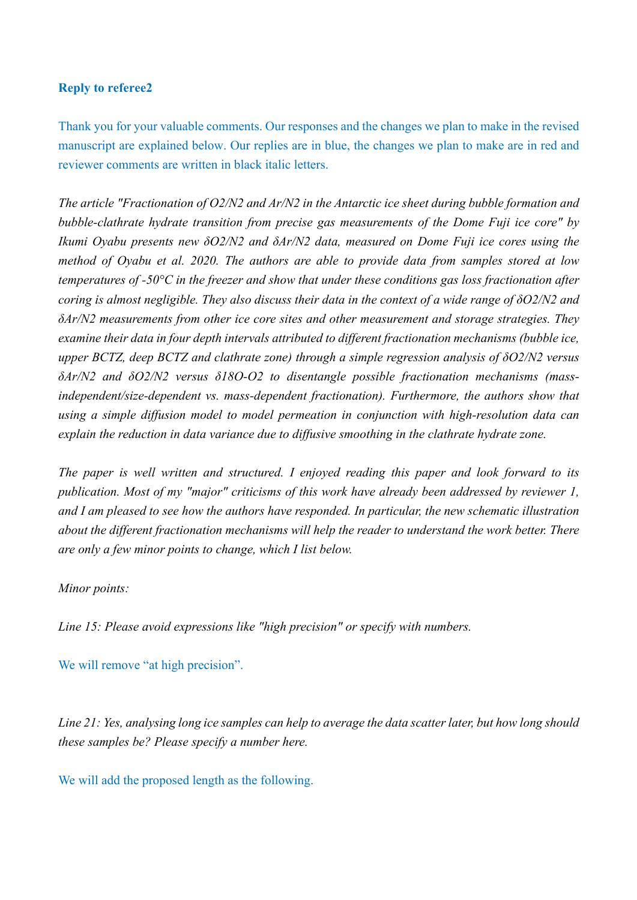## **Reply to referee2**

Thank you for your valuable comments. Our responses and the changes we plan to make in the revised manuscript are explained below. Our replies are in blue, the changes we plan to make are in red and reviewer comments are written in black italic letters.

*The article "Fractionation of O2/N2 and Ar/N2 in the Antarctic ice sheet during bubble formation and bubble-clathrate hydrate transition from precise gas measurements of the Dome Fuji ice core" by Ikumi Oyabu presents new δO2/N2 and δAr/N2 data, measured on Dome Fuji ice cores using the method of Oyabu et al. 2020. The authors are able to provide data from samples stored at low temperatures of -50°C in the freezer and show that under these conditions gas loss fractionation after coring is almost negligible. They also discuss their data in the context of a wide range of δO2/N2 and δAr/N2 measurements from other ice core sites and other measurement and storage strategies. They examine their data in four depth intervals attributed to different fractionation mechanisms (bubble ice, upper BCTZ, deep BCTZ and clathrate zone) through a simple regression analysis of δO2/N2 versus δAr/N2 and δO2/N2 versus δ18O-O2 to disentangle possible fractionation mechanisms (massindependent/size-dependent vs. mass-dependent fractionation). Furthermore, the authors show that using a simple diffusion model to model permeation in conjunction with high-resolution data can explain the reduction in data variance due to diffusive smoothing in the clathrate hydrate zone.*

*The paper is well written and structured. I enjoyed reading this paper and look forward to its publication. Most of my "major" criticisms of this work have already been addressed by reviewer 1, and I am pleased to see how the authors have responded. In particular, the new schematic illustration about the different fractionation mechanisms will help the reader to understand the work better. There are only a few minor points to change, which I list below.*

## *Minor points:*

*Line 15: Please avoid expressions like "high precision" or specify with numbers.*

We will remove "at high precision".

*Line 21: Yes, analysing long ice samples can help to average the data scatter later, but how long should these samples be? Please specify a number here.*

We will add the proposed length as the following.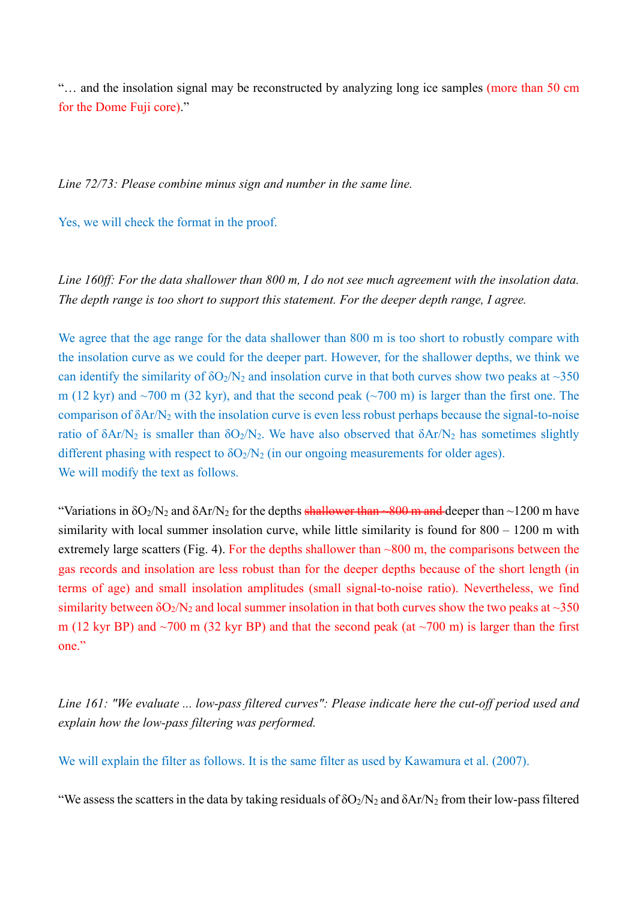"… and the insolation signal may be reconstructed by analyzing long ice samples (more than 50 cm for the Dome Fuji core)."

*Line 72/73: Please combine minus sign and number in the same line.*

Yes, we will check the format in the proof.

*Line 160ff: For the data shallower than 800 m, I do not see much agreement with the insolation data. The depth range is too short to support this statement. For the deeper depth range, I agree.*

We agree that the age range for the data shallower than 800 m is too short to robustly compare with the insolation curve as we could for the deeper part. However, for the shallower depths, we think we can identify the similarity of  $\delta O_2/N_2$  and insolation curve in that both curves show two peaks at ~350 m (12 kyr) and  $\sim$ 700 m (32 kyr), and that the second peak ( $\sim$ 700 m) is larger than the first one. The comparison of δAr/Ν2 with the insolation curve is even less robust perhaps because the signal-to-noise ratio of δAr/N<sub>2</sub> is smaller than  $δO<sub>2</sub>/N<sub>2</sub>$ . We have also observed that  $δAr/N<sub>2</sub>$  has sometimes slightly different phasing with respect to  $\delta O_2/N_2$  (in our ongoing measurements for older ages). We will modify the text as follows.

"Variations in  $\delta O_2/N_2$  and  $\delta Ar/N_2$  for the depths shallower than  $-800$  m and deeper than  $\sim$ 1200 m have similarity with local summer insolation curve, while little similarity is found for 800 – 1200 m with extremely large scatters (Fig. 4). For the depths shallower than  $\sim 800$  m, the comparisons between the gas records and insolation are less robust than for the deeper depths because of the short length (in terms of age) and small insolation amplitudes (small signal-to-noise ratio). Nevertheless, we find similarity between  $\delta O_2/N_2$  and local summer insolation in that both curves show the two peaks at  $\sim$ 350 m (12 kyr BP) and  $\sim$ 700 m (32 kyr BP) and that the second peak (at  $\sim$ 700 m) is larger than the first one."

*Line 161: "We evaluate ... low-pass filtered curves": Please indicate here the cut-off period used and explain how the low-pass filtering was performed.*

We will explain the filter as follows. It is the same filter as used by Kawamura et al. (2007).

"We assess the scatters in the data by taking residuals of  $\delta O_2/N_2$  and  $\delta Ar/N_2$  from their low-pass filtered